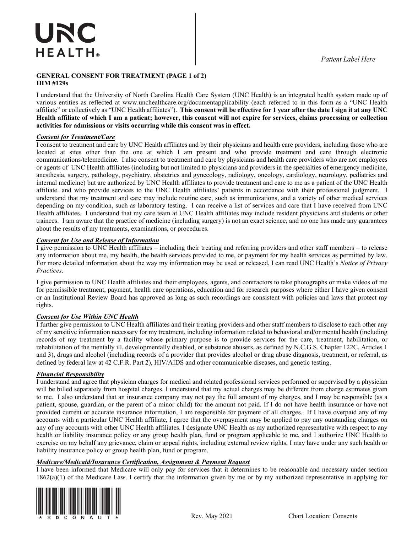#### **GENERAL CONSENT FOR TREATMENT (PAGE 1 of 2) HIM #129s GENERAL CONSENT FOR TREATMENT (PAGE 1 of 2)**

I understand that the University of North Carolina Health Care System (UNC Health) is an integrated health system made up of various entities as reflected at www.unchealthcare.org/documentapplicability (each referred to in this form as a "UNC Health affiliate" or collectively as "UNC Health affiliates"). This consent will be effective for 1 year after the date I sign it at any UNC Health affiliate of which I am a patient; however, this consent will not expire for services, claims processing or collection activities for admissions or visits occurring while this consent was in effect. **Health and a particular of which became the services of services** in check.

### *Consent for Treatment/Care decay* **<b>***decay decay decay decay decay decay decay decay defause*

I consent to treatment and care by UNC Health affiliates and by their physicians and health care providers, including those who are located at sites other than the one at which I am present and who provide treatment and care through electronic located at sites other than the one at which I am present and who provide treatment and care through electroni communications/telemedicine. I also consent to treatment and care by physicians and health care providers who are not employees or agents of UNC Health affiliates (including but not limited to physicians and providers in the specialties of emergency medicine, anesthesia, surgery, pathology, psychiatry, obstetrics and gynecology, radiology, oncology, cardiology, neurology, pediatrics and internal medicine) but are authorized by UNC Health affiliates to provide treatment and care to me as a patient of the UNC Health affiliate. and who provide services to the UNC Health affiliates' patients in accordance with their professional judgment. I understand that my treatment and care may include routine care, such as immunizations, and a variety of other medical services depending on my condition, such as laboratory testing. I can receive a list of services and care that I have received from UNC Health affiliates. I understand that my care team at UNC Health affiliates may include resident physicians and students or other trainees. I am aware that the practice of medicine (including surgery) is not an exact science, and no one has made any guarantees health affiliates. I understand the procedure or medicine (including surgery) is not an exact science, and no one has made any guarantees about the results of my treatments, examinations, or procedures. the product of my available, examinations, or provedures.

### **Consent for Use and Release of Information**

I give permission to UNC Health affiliates – including their treating and referring providers and other staff members – to release any information about me, my health, the health services provided to me, or payment for my health services as permitted by law. For more detailed information about the way my information may be used or released, I can read UNC Health's *Notice of Privacy Practices*. range about me, my health services provided to health, the me, or payment for the health service of law. The health services as permitted by law. The me of the me, or payment for the me of the me of the me of the me of the For more detailed information about the way my information may be used or released, I can read UNC Health's *Notice of Privacy* 

I give permission to UNC Health affiliates and their employees, agents, and contractors to take photographs or make videos of me *Practices*. for permissible treatment, payment, health care operations, education and for research purposes where either I have given consent or an Institutional Review Board has approved as long as such recordings are consistent with policies and laws that protect my rights. of an institutional receive Board has approved as long as such recordings are consistent while poncies and faws that protect my or an Institutional Review Board has approved as such recordings are consistent with policies and laws that pro

### **Consent for Use Within UNC Health**

I further give permission to UNC Health affiliates and their treating providers and other staff members to disclose to each other any of my sensitive information necessary for my treatment, including information related to behavioral and/or mental health (including of my sensitive information necessary for my treatment, including information related to b records of my treatment by a facility whose primary purpose is to provide services for the care, treatment, habilitation, or rehabilitation of the mentally ill, developmentally disabled, or substance abusers, as defined by N.C.G.S. Chapter 122C, Articles 1 and 3), drugs and alcohol (including records of a provider that provides alcohol or drug abuse diagnosis, treatment, or referral, as defined by federal law at 42 C.F.R. Part 2), HIV/AIDS and other communicable diseases, and genetic testing.  $\alpha$  activities by reacting random  $\alpha$ ,  $\alpha$  and  $\alpha$  provided and other communicative absences, and generic results.

### **defined by Financial Responsibility defined by federal law at 42 C.F.R. Part 2012, HIV/AIDS and genetic testing.**

I understand and agree that physician charges for medical and related professional services performed or supervised by a physician will be billed separately from hospital charges. I understand that my actual charges may be different from charge estimates given *Financial Responsibility*  to me. I also understand that an insurance company may not pay the full amount of my charges, and I may be responsible (as a patient, spouse, guardian, or the parent of a minor child) for the amount not paid. If I do not have health insurance or have not provided current or accurate insurance information, I am responsible for payment of all charges. If I have overpaid any of my accounts with a particular UNC Health affiliate, I agree that the overpayment may be applied to pay any outstanding charges on any of my accounts with other UNC Health affiliates. I designate UNC Health as my authorized representative with respect to any health or liability insurance policy or any group health plan, fund or program applicable to me, and I authorize UNC Health to exercise on my behalf any grievance, claim or appeal rights, including external review rights, I may have under any such health or liability insurance policy or group health plan, fund or program. extends on my ground of group health plan, fund or program applicable to me, and I any have under any gain health or

### **Medicare/Medicaid/Insurance Certification, Assignment & Payment Request**

I have been informed that Medicare will only pay for services that it determines to be reasonable and necessary under section 1862(a)(1) of the Medicare Law. I certify that the information given by me or by my authorized representative in applying for 1862(a)(1) of the Medicare Law. I certify that the information given by me or by my authorized r  $\sum_{i=1}^{\infty}$  for the integrate  $\sum_{i=1}^{\infty}$  formulation  $\sum_{i=1}^{\infty}$  for  $\sum_{i=1}^{\infty}$  for  $\sum_{i=1}^{\infty}$  for  $\sum_{i=1}^{\infty}$  for  $\sum_{i=1}^{\infty}$  for  $\sum_{i=1}^{\infty}$  for  $\sum_{i=1}^{\infty}$  for  $\sum_{i=1}^{\infty}$  for  $\sum_{i=1}^$